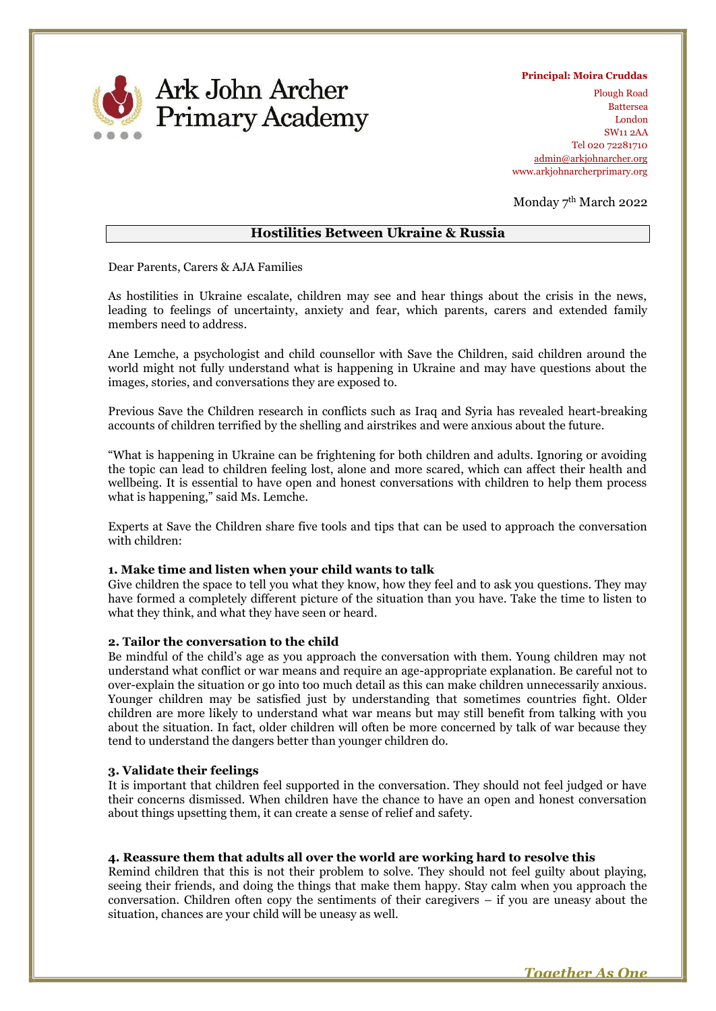

 **Principal: Moira Cruddas**

Plough Road Battersea London SW11 2AA Tel 020 72281710 admin@arkjohnarcher.org www.arkjohnarcherprimary.org

Monday 7th March 2022

# **Hostilities Between Ukraine & Russia**

Dear Parents, Carers & AJA Families

As hostilities in Ukraine escalate, children may see and hear things about the crisis in the news, leading to feelings of uncertainty, anxiety and fear, which parents, carers and extended family members need to address.

Ane Lemche, a psychologist and child counsellor with Save the Children, said children around the world might not fully understand what is happening in Ukraine and may have questions about the images, stories, and conversations they are exposed to.

Previous Save the Children research in conflicts such as Iraq and Syria has revealed heart-breaking accounts of children terrified by the shelling and airstrikes and were anxious about the future.

"What is happening in Ukraine can be frightening for both children and adults. Ignoring or avoiding the topic can lead to children feeling lost, alone and more scared, which can affect their health and wellbeing. It is essential to have open and honest conversations with children to help them process what is happening," said Ms. Lemche.

Experts at Save the Children share five tools and tips that can be used to approach the conversation with children:

#### **1. Make time and listen when your child wants to talk**

Give children the space to tell you what they know, how they feel and to ask you questions. They may have formed a completely different picture of the situation than you have. Take the time to listen to what they think, and what they have seen or heard.

### **2. Tailor the conversation to the child**

Be mindful of the child's age as you approach the conversation with them. Young children may not understand what conflict or war means and require an age-appropriate explanation. Be careful not to over-explain the situation or go into too much detail as this can make children unnecessarily anxious. Younger children may be satisfied just by understanding that sometimes countries fight. Older children are more likely to understand what war means but may still benefit from talking with you about the situation. In fact, older children will often be more concerned by talk of war because they tend to understand the dangers better than younger children do.

#### **3. Validate their feelings**

It is important that children feel supported in the conversation. They should not feel judged or have their concerns dismissed. When children have the chance to have an open and honest conversation about things upsetting them, it can create a sense of relief and safety.

## **4. Reassure them that adults all over the world are working hard to resolve this**

Remind children that this is not their problem to solve. They should not feel guilty about playing, seeing their friends, and doing the things that make them happy. Stay calm when you approach the conversation. Children often copy the sentiments of their caregivers – if you are uneasy about the situation, chances are your child will be uneasy as well.